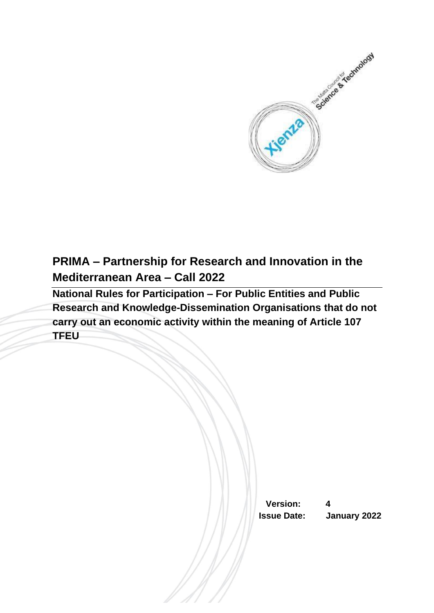

**PRIMA – Partnership for Research and Innovation in the Mediterranean Area – Call 2022**

**National Rules for Participation – For Public Entities and Public Research and Knowledge-Dissemination Organisations that do not carry out an economic activity within the meaning of Article 107 TFEU**

> **Version: 4 Issue Date: January 2022**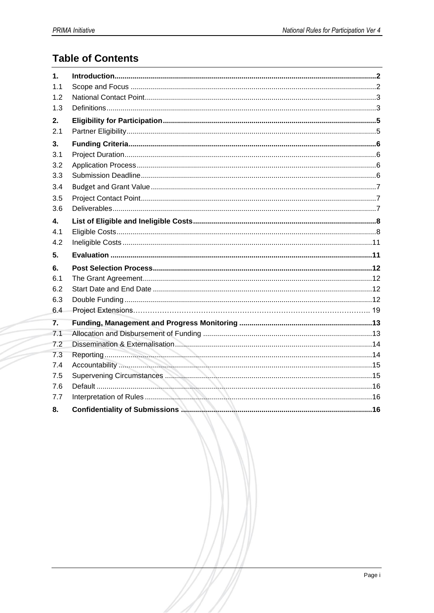# **Table of Contents**

| $\mathbf{1}$ . |  |
|----------------|--|
| 1.1            |  |
| 1.2            |  |
| 1.3            |  |
| 2.             |  |
| 2.1            |  |
| 3.             |  |
| 3.1            |  |
| 3.2            |  |
| 3.3            |  |
| 3.4            |  |
| 3.5            |  |
| 3.6            |  |
| 4.             |  |
| 4.1            |  |
| 4.2            |  |
|                |  |
| 5.             |  |
| 6.             |  |
| 6.1            |  |
| 6.2            |  |
| 6.3            |  |
| 6.4            |  |
| 7.             |  |
| 7 <sub>1</sub> |  |
| 72             |  |
| 7.3            |  |
| 7.4            |  |
| 7.5            |  |
| 7.6            |  |
| 7.7            |  |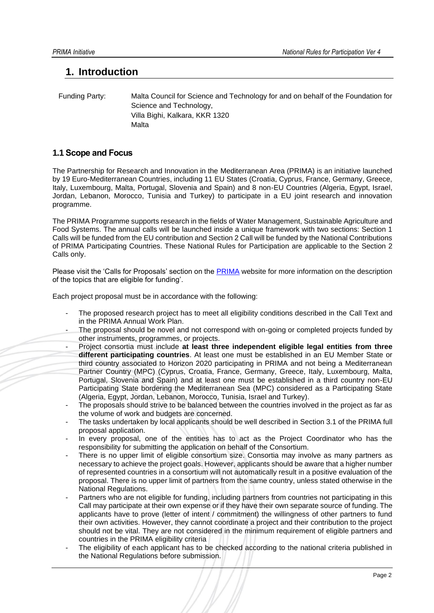## <span id="page-2-0"></span>**1. Introduction**

 Funding Party: Malta Council for Science and Technology for and on behalf of the Foundation for Science and Technology, Villa Bighi, Kalkara, KKR 1320 Malta

## <span id="page-2-1"></span>**1.1 Scope and Focus**

The Partnership for Research and Innovation in the Mediterranean Area (PRIMA) is an initiative launched by 19 Euro-Mediterranean Countries, including 11 EU States (Croatia, Cyprus, France, Germany, Greece, Italy, Luxembourg, Malta, Portugal, Slovenia and Spain) and 8 non-EU Countries (Algeria, Egypt, Israel, Jordan, Lebanon, Morocco, Tunisia and Turkey) to participate in a EU joint research and innovation programme.

The PRIMA Programme supports research in the fields of Water Management, Sustainable Agriculture and Food Systems. The annual calls will be launched inside a unique framework with two sections: Section 1 Calls will be funded from the EU contribution and Section 2 Call will be funded by the National Contributions of PRIMA Participating Countries. These National Rules for Participation are applicable to the Section 2 Calls only.

Please visit the 'Calls for Proposals' section on the [PRIMA](https://prima-med.org/) website for more information on the description of the topics that are eligible for funding'.

Each project proposal must be in accordance with the following:

- The proposed research project has to meet all eligibility conditions described in the Call Text and in the PRIMA Annual Work Plan.
- The proposal should be novel and not correspond with on-going or completed projects funded by other instruments, programmes, or projects.
- Project consortia must include **at least three independent eligible legal entities from three different participating countries**. At least one must be established in an EU Member State or third country associated to Horizon 2020 participating in PRIMA and not being a Mediterranean Partner Country (MPC) (Cyprus, Croatia, France, Germany, Greece, Italy, Luxembourg, Malta, Portugal, Slovenia and Spain) and at least one must be established in a third country non-EU Participating State bordering the Mediterranean Sea (MPC) considered as a Participating State (Algeria, Egypt, Jordan, Lebanon, Morocco, Tunisia, Israel and Turkey).
- The proposals should strive to be balanced between the countries involved in the project as far as the volume of work and budgets are concerned.
- The tasks undertaken by local applicants should be well described in Section 3.1 of the PRIMA full proposal application.
- In every proposal, one of the entities has to act as the Project Coordinator who has the responsibility for submitting the application on behalf of the Consortium.
- There is no upper limit of eligible consortium size. Consortia may involve as many partners as necessary to achieve the project goals. However, applicants should be aware that a higher number of represented countries in a consortium will not automatically result in a positive evaluation of the proposal. There is no upper limit of partners from the same country, unless stated otherwise in the National Regulations.
- Partners who are not eligible for funding, including partners from countries not participating in this Call may participate at their own expense or if they have their own separate source of funding. The applicants have to prove (letter of intent / commitment) the willingness of other partners to fund their own activities. However, they cannot coordinate a project and their contribution to the project should not be vital. They are not considered in the minimum requirement of eligible partners and countries in the PRIMA eligibility criteria
- The eligibility of each applicant has to be checked according to the national criteria published in the National Regulations before submission.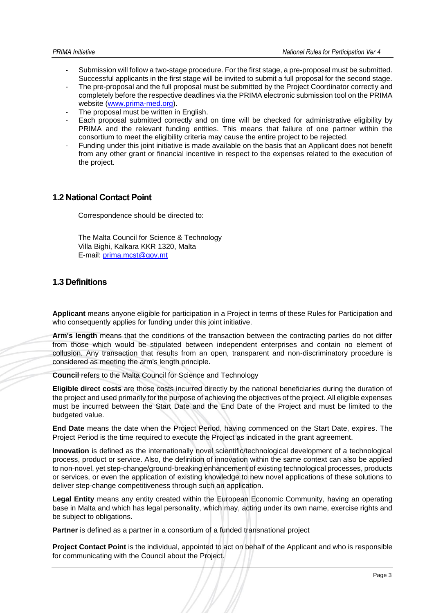- Submission will follow a two-stage procedure. For the first stage, a pre-proposal must be submitted. Successful applicants in the first stage will be invited to submit a full proposal for the second stage.
- The pre-proposal and the full proposal must be submitted by the Project Coordinator correctly and completely before the respective deadlines via the PRIMA electronic submission tool on the PRIMA website [\(www.prima-med.org\)](http://www.prima-med.org/).
- The proposal must be written in English.
- Each proposal submitted correctly and on time will be checked for administrative eligibility by PRIMA and the relevant funding entities. This means that failure of one partner within the consortium to meet the eligibility criteria may cause the entire project to be rejected.
- Funding under this joint initiative is made available on the basis that an Applicant does not benefit from any other grant or financial incentive in respect to the expenses related to the execution of the project.

### <span id="page-3-0"></span>**1.2 National Contact Point**

Correspondence should be directed to:

The Malta Council for Science & Technology Villa Bighi, Kalkara KKR 1320, Malta E-mail: [prima.mcst@gov.mt](mailto:prima.mcst@gov.mt)

## <span id="page-3-1"></span>**1.3 Definitions**

**Applicant** means anyone eligible for participation in a Project in terms of these Rules for Participation and who consequently applies for funding under this joint initiative.

**Arm's length** means that the conditions of the transaction between the contracting parties do not differ from those which would be stipulated between independent enterprises and contain no element of collusion. Any transaction that results from an open, transparent and non-discriminatory procedure is considered as meeting the arm's length principle.

**Council** refers to the Malta Council for Science and Technology

**Eligible direct costs** are those costs incurred directly by the national beneficiaries during the duration of the project and used primarily for the purpose of achieving the objectives of the project. All eligible expenses must be incurred between the Start Date and the End Date of the Project and must be limited to the budgeted value.

**End Date** means the date when the Project Period, having commenced on the Start Date, expires. The Project Period is the time required to execute the Project as indicated in the grant agreement.

**Innovation** is defined as the internationally novel scientific/technological development of a technological process, product or service. Also, the definition of innovation within the same context can also be applied to non-novel, yet step-change/ground-breaking enhancement of existing technological processes, products or services, or even the application of existing knowledge to new novel applications of these solutions to deliver step-change competitiveness through such an application.

**Legal Entity** means any entity created within the European Economic Community, having an operating base in Malta and which has legal personality, which may, acting under its own name, exercise rights and be subject to obligations.

**Partner** is defined as a partner in a consortium of a funded transnational project

**Project Contact Point** is the individual, appointed to act on behalf of the Applicant and who is responsible for communicating with the Council about the Project.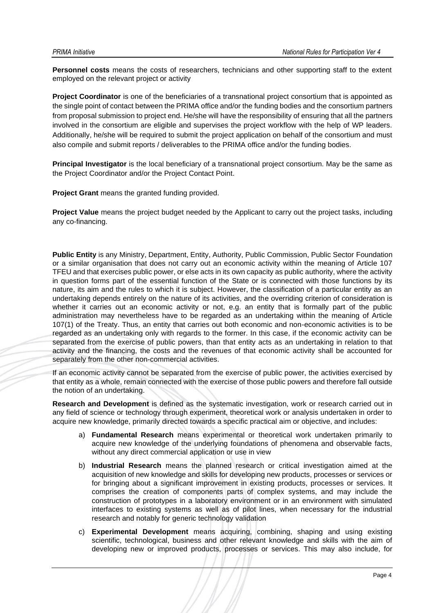**Personnel costs** means the costs of researchers, technicians and other supporting staff to the extent employed on the relevant project or activity

**Project Coordinator** is one of the beneficiaries of a transnational project consortium that is appointed as the single point of contact between the PRIMA office and/or the funding bodies and the consortium partners from proposal submission to project end. He/she will have the responsibility of ensuring that all the partners involved in the consortium are eligible and supervises the project workflow with the help of WP leaders. Additionally, he/she will be required to submit the project application on behalf of the consortium and must also compile and submit reports / deliverables to the PRIMA office and/or the funding bodies.

**Principal Investigator** is the local beneficiary of a transnational project consortium. May be the same as the Project Coordinator and/or the Project Contact Point.

**Project Grant** means the granted funding provided.

**Project Value** means the project budget needed by the Applicant to carry out the project tasks, including any co-financing.

**Public Entity** is any Ministry, Department, Entity, Authority, Public Commission, Public Sector Foundation or a similar organisation that does not carry out an economic activity within the meaning of Article 107 TFEU and that exercises public power, or else acts in its own capacity as public authority, where the activity in question forms part of the essential function of the State or is connected with those functions by its nature, its aim and the rules to which it is subject. However, the classification of a particular entity as an undertaking depends entirely on the nature of its activities, and the overriding criterion of consideration is whether it carries out an economic activity or not, e.g. an entity that is formally part of the public administration may nevertheless have to be regarded as an undertaking within the meaning of Article 107(1) of the Treaty. Thus, an entity that carries out both economic and non-economic activities is to be regarded as an undertaking only with regards to the former. In this case, if the economic activity can be separated from the exercise of public powers, than that entity acts as an undertaking in relation to that activity and the financing, the costs and the revenues of that economic activity shall be accounted for separately from the other non-commercial activities.

If an economic activity cannot be separated from the exercise of public power, the activities exercised by that entity as a whole, remain connected with the exercise of those public powers and therefore fall outside the notion of an undertaking.

**Research and Development** is defined as the systematic investigation, work or research carried out in any field of science or technology through experiment, theoretical work or analysis undertaken in order to acquire new knowledge, primarily directed towards a specific practical aim or objective, and includes:

- a) **Fundamental Research** means experimental or theoretical work undertaken primarily to acquire new knowledge of the underlying foundations of phenomena and observable facts, without any direct commercial application or use in view
- b) **Industrial Research** means the planned research or critical investigation aimed at the acquisition of new knowledge and skills for developing new products, processes or services or for bringing about a significant improvement in existing products, processes or services. It comprises the creation of components parts of complex systems, and may include the construction of prototypes in a laboratory environment or in an environment with simulated interfaces to existing systems as well as of pilot lines, when necessary for the industrial research and notably for generic technology validation
- c) **Experimental Development** means acquiring, combining, shaping and using existing scientific, technological, business and other relevant knowledge and skills with the aim of developing new or improved products, processes or services. This may also include, for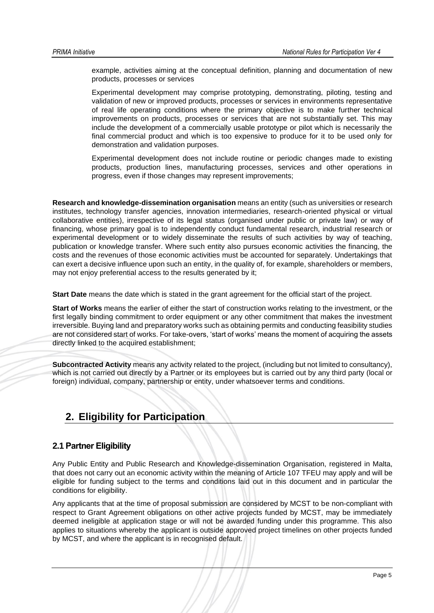example, activities aiming at the conceptual definition, planning and documentation of new products, processes or services

Experimental development may comprise prototyping, demonstrating, piloting, testing and validation of new or improved products, processes or services in environments representative of real life operating conditions where the primary objective is to make further technical improvements on products, processes or services that are not substantially set. This may include the development of a commercially usable prototype or pilot which is necessarily the final commercial product and which is too expensive to produce for it to be used only for demonstration and validation purposes.

Experimental development does not include routine or periodic changes made to existing products, production lines, manufacturing processes, services and other operations in progress, even if those changes may represent improvements;

**Research and knowledge-dissemination organisation** means an entity (such as universities or research institutes, technology transfer agencies, innovation intermediaries, research-oriented physical or virtual collaborative entities), irrespective of its legal status (organised under public or private law) or way of financing, whose primary goal is to independently conduct fundamental research, industrial research or experimental development or to widely disseminate the results of such activities by way of teaching, publication or knowledge transfer. Where such entity also pursues economic activities the financing, the costs and the revenues of those economic activities must be accounted for separately. Undertakings that can exert a decisive influence upon such an entity, in the quality of, for example, shareholders or members, may not enjoy preferential access to the results generated by it;

**Start Date** means the date which is stated in the grant agreement for the official start of the project.

**Start of Works** means the earlier of either the start of construction works relating to the investment, or the first legally binding commitment to order equipment or any other commitment that makes the investment irreversible. Buying land and preparatory works such as obtaining permits and conducting feasibility studies are not considered start of works. For take-overs, 'start of works' means the moment of acquiring the assets directly linked to the acquired establishment;

**Subcontracted Activity** means any activity related to the project, (including but not limited to consultancy), which is not carried out directly by a Partner or its employees but is carried out by any third party (local or foreign) individual, company, partnership or entity, under whatsoever terms and conditions.

# <span id="page-5-0"></span>**2. Eligibility for Participation**

## <span id="page-5-1"></span>**2.1 Partner Eligibility**

Any Public Entity and Public Research and Knowledge-dissemination Organisation, registered in Malta, that does not carry out an economic activity within the meaning of Article 107 TFEU may apply and will be eligible for funding subject to the terms and conditions laid out in this document and in particular the conditions for eligibility.

Any applicants that at the time of proposal submission are considered by MCST to be non-compliant with respect to Grant Agreement obligations on other active projects funded by MCST, may be immediately deemed ineligible at application stage or will not be awarded funding under this programme. This also applies to situations whereby the applicant is outside approved project timelines on other projects funded by MCST, and where the applicant is in recognised default.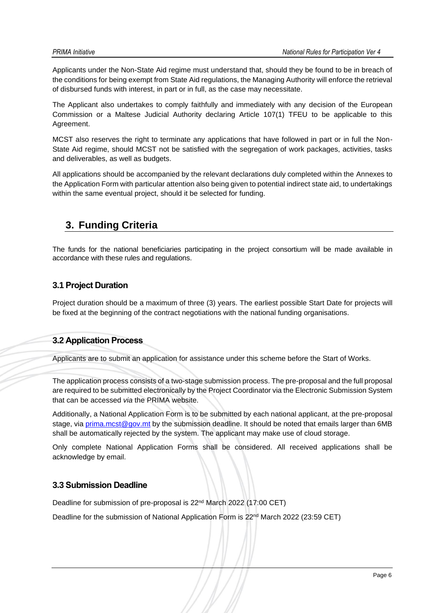Applicants under the Non-State Aid regime must understand that, should they be found to be in breach of the conditions for being exempt from State Aid regulations, the Managing Authority will enforce the retrieval of disbursed funds with interest, in part or in full, as the case may necessitate.

The Applicant also undertakes to comply faithfully and immediately with any decision of the European Commission or a Maltese Judicial Authority declaring Article 107(1) TFEU to be applicable to this Agreement.

MCST also reserves the right to terminate any applications that have followed in part or in full the Non-State Aid regime, should MCST not be satisfied with the segregation of work packages, activities, tasks and deliverables, as well as budgets.

All applications should be accompanied by the relevant declarations duly completed within the Annexes to the Application Form with particular attention also being given to potential indirect state aid, to undertakings within the same eventual project, should it be selected for funding.

## <span id="page-6-0"></span>**3. Funding Criteria**

The funds for the national beneficiaries participating in the project consortium will be made available in accordance with these rules and regulations.

## <span id="page-6-1"></span>**3.1 Project Duration**

Project duration should be a maximum of three (3) years. The earliest possible Start Date for projects will be fixed at the beginning of the contract negotiations with the national funding organisations.

## <span id="page-6-2"></span>**3.2 Application Process**

Applicants are to submit an application for assistance under this scheme before the Start of Works.

The application process consists of a two-stage submission process. The pre-proposal and the full proposal are required to be submitted electronically by the Project Coordinator via the Electronic Submission System that can be accessed *via* the PRIMA website.

Additionally, a National Application Form is to be submitted by each national applicant, at the pre-proposal stage, via [prima.mcst@gov.mt](mailto:prima.mcst@gov.mt) by the submission deadline. It should be noted that emails larger than 6MB shall be automatically rejected by the system. The applicant may make use of cloud storage.

Only complete National Application Forms shall be considered. All received applications shall be acknowledge by email.

## <span id="page-6-3"></span>**3.3 Submission Deadline**

Deadline for submission of pre-proposal is 22<sup>nd</sup> March 2022 (17:00 CET)

Deadline for the submission of National Application Form is 22<sup>nd</sup> March 2022 (23:59 CET)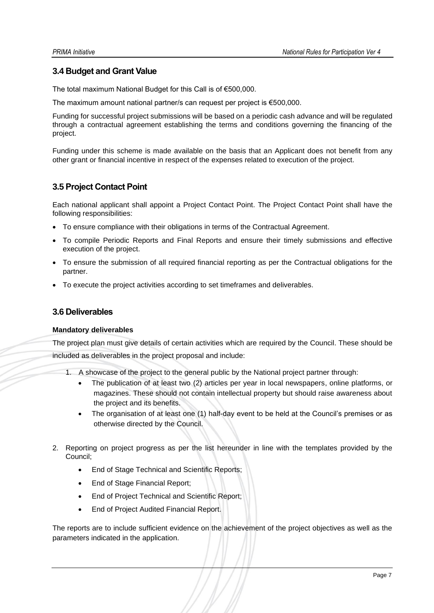## <span id="page-7-0"></span>**3.4 Budget and Grant Value**

The total maximum National Budget for this Call is of €500,000.

The maximum amount national partner/s can request per project is €500,000.

Funding for successful project submissions will be based on a periodic cash advance and will be regulated through a contractual agreement establishing the terms and conditions governing the financing of the project.

Funding under this scheme is made available on the basis that an Applicant does not benefit from any other grant or financial incentive in respect of the expenses related to execution of the project.

## <span id="page-7-1"></span>**3.5 Project Contact Point**

Each national applicant shall appoint a Project Contact Point. The Project Contact Point shall have the following responsibilities:

- To ensure compliance with their obligations in terms of the Contractual Agreement.
- To compile Periodic Reports and Final Reports and ensure their timely submissions and effective execution of the project.
- To ensure the submission of all required financial reporting as per the Contractual obligations for the partner.
- To execute the project activities according to set timeframes and deliverables.

## <span id="page-7-2"></span>**3.6 Deliverables**

#### **Mandatory deliverables**

The project plan must give details of certain activities which are required by the Council. These should be included as deliverables in the project proposal and include:

- 1. A showcase of the project to the general public by the National project partner through:
	- The publication of at least two (2) articles per year in local newspapers, online platforms, or magazines. These should not contain intellectual property but should raise awareness about the project and its benefits.
	- The organisation of at least one (1) half-day event to be held at the Council's premises or as otherwise directed by the Council.
- 2. Reporting on project progress as per the list hereunder in line with the templates provided by the Council;
	- End of Stage Technical and Scientific Reports;
	- End of Stage Financial Report;
	- End of Project Technical and Scientific Report;
	- End of Project Audited Financial Report.

The reports are to include sufficient evidence on the achievement of the project objectives as well as the parameters indicated in the application.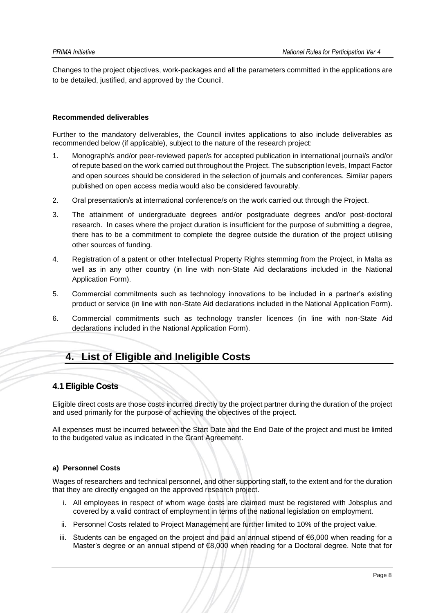Changes to the project objectives, work-packages and all the parameters committed in the applications are to be detailed, justified, and approved by the Council.

#### **Recommended deliverables**

Further to the mandatory deliverables, the Council invites applications to also include deliverables as recommended below (if applicable), subject to the nature of the research project:

- 1. Monograph/s and/or peer-reviewed paper/s for accepted publication in international journal/s and/or of repute based on the work carried out throughout the Project. The subscription levels, Impact Factor and open sources should be considered in the selection of journals and conferences. Similar papers published on open access media would also be considered favourably.
- 2. Oral presentation/s at international conference/s on the work carried out through the Project.
- 3. The attainment of undergraduate degrees and/or postgraduate degrees and/or post-doctoral research. In cases where the project duration is insufficient for the purpose of submitting a degree, there has to be a commitment to complete the degree outside the duration of the project utilising other sources of funding.
- 4. Registration of a patent or other Intellectual Property Rights stemming from the Project, in Malta as well as in any other country (in line with non-State Aid declarations included in the National Application Form).
- 5. Commercial commitments such as technology innovations to be included in a partner's existing product or service (in line with non-State Aid declarations included in the National Application Form).
- 6. Commercial commitments such as technology transfer licences (in line with non-State Aid declarations included in the National Application Form).

## <span id="page-8-0"></span>**4. List of Eligible and Ineligible Costs**

## <span id="page-8-1"></span>**4.1 Eligible Costs**

Eligible direct costs are those costs incurred directly by the project partner during the duration of the project and used primarily for the purpose of achieving the objectives of the project.

All expenses must be incurred between the Start Date and the End Date of the project and must be limited to the budgeted value as indicated in the Grant Agreement.

#### **a) Personnel Costs**

Wages of researchers and technical personnel, and other supporting staff, to the extent and for the duration that they are directly engaged on the approved research project.

- i. All employees in respect of whom wage costs are claimed must be registered with Jobsplus and covered by a valid contract of employment in terms of the national legislation on employment.
- ii. Personnel Costs related to Project Management are further limited to 10% of the project value.
- iii. Students can be engaged on the project and paid an annual stipend of €6,000 when reading for a Master's degree or an annual stipend of €8,000 when reading for a Doctoral degree. Note that for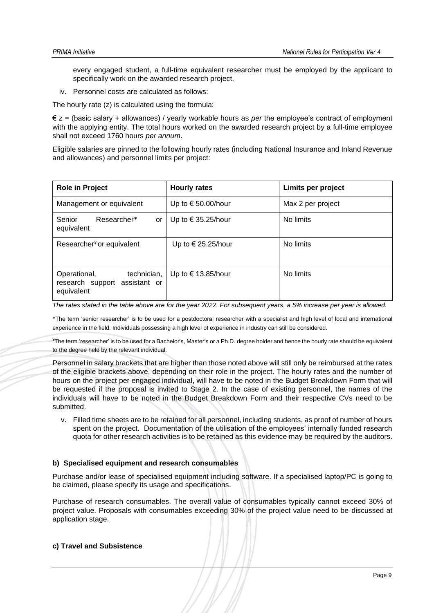every engaged student, a full-time equivalent researcher must be employed by the applicant to specifically work on the awarded research project.

iv. Personnel costs are calculated as follows:

The hourly rate (z) is calculated using the formula:

€ z = (basic salary + allowances) / yearly workable hours as *per* the employee's contract of employment with the applying entity. The total hours worked on the awarded research project by a full-time employee shall not exceed 1760 hours *per annum*.

Eligible salaries are pinned to the following hourly rates (including National Insurance and Inland Revenue and allowances) and personnel limits per project:

| <b>Role in Project</b>                                                     | <b>Hourly rates</b>         | Limits per project |
|----------------------------------------------------------------------------|-----------------------------|--------------------|
| Management or equivalent                                                   | Up to $\epsilon$ 50.00/hour | Max 2 per project  |
| Senior<br>Researcher*<br>or<br>equivalent                                  | Up to $\in$ 35.25/hour      | No limits          |
| Researcher <sup>¥</sup> or equivalent                                      | Up to $\in$ 25.25/hour      | No limits          |
| technician,<br>Operational,<br>research support assistant or<br>equivalent | Up to $\in$ 13.85/hour      | No limits          |

*The rates stated in the table above are for the year 2022. For subsequent years, a 5% increase per year is allowed.* 

\*The term 'senior researcher' is to be used for a postdoctoral researcher with a specialist and high level of local and international experience in the field. Individuals possessing a high level of experience in industry can still be considered.

¥The term 'researcher' is to be used for a Bachelor's, Master's or a Ph.D. degree holder and hence the hourly rate should be equivalent to the degree held by the relevant individual.

Personnel in salary brackets that are higher than those noted above will still only be reimbursed at the rates of the eligible brackets above, depending on their role in the project. The hourly rates and the number of hours on the project per engaged individual, will have to be noted in the Budget Breakdown Form that will be requested if the proposal is invited to Stage 2. In the case of existing personnel, the names of the individuals will have to be noted in the Budget Breakdown Form and their respective CVs need to be submitted.

v. Filled time sheets are to be retained for all personnel, including students, as proof of number of hours spent on the project. Documentation of the utilisation of the employees' internally funded research quota for other research activities is to be retained as this evidence may be required by the auditors.

#### **b) Specialised equipment and research consumables**

Purchase and/or lease of specialised equipment including software. If a specialised laptop/PC is going to be claimed, please specify its usage and specifications.

Purchase of research consumables. The overall value of consumables typically cannot exceed 30% of project value. Proposals with consumables exceeding 30% of the project value need to be discussed at application stage.

#### **c) Travel and Subsistence**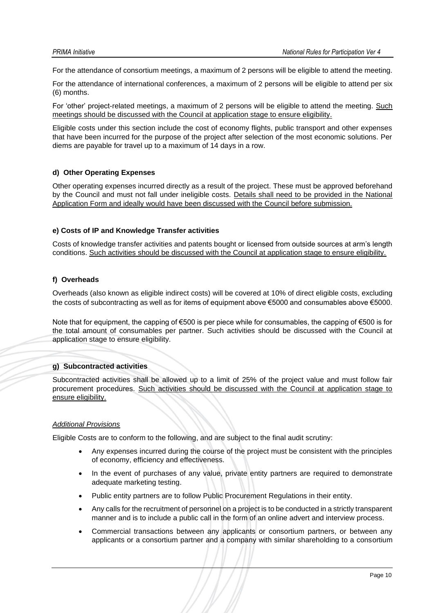For the attendance of consortium meetings, a maximum of 2 persons will be eligible to attend the meeting.

For the attendance of international conferences, a maximum of 2 persons will be eligible to attend per six (6) months.

For 'other' project-related meetings, a maximum of 2 persons will be eligible to attend the meeting. Such meetings should be discussed with the Council at application stage to ensure eligibility.

Eligible costs under this section include the cost of economy flights, public transport and other expenses that have been incurred for the purpose of the project after selection of the most economic solutions. Per diems are payable for travel up to a maximum of 14 days in a row.

#### **d) Other Operating Expenses**

Other operating expenses incurred directly as a result of the project. These must be approved beforehand by the Council and must not fall under ineligible costs. Details shall need to be provided in the National Application Form and ideally would have been discussed with the Council before submission.

#### **e) Costs of IP and Knowledge Transfer activities**

Costs of knowledge transfer activities and patents bought or licensed from outside sources at arm's length conditions. Such activities should be discussed with the Council at application stage to ensure eligibility.

#### **f) Overheads**

Overheads (also known as eligible indirect costs) will be covered at 10% of direct eligible costs, excluding the costs of subcontracting as well as for items of equipment above €5000 and consumables above €5000.

Note that for equipment, the capping of €500 is per piece while for consumables, the capping of €500 is for the total amount of consumables per partner. Such activities should be discussed with the Council at application stage to ensure eligibility.

#### **g) Subcontracted activities**

Subcontracted activities shall be allowed up to a limit of 25% of the project value and must follow fair procurement procedures. Such activities should be discussed with the Council at application stage to ensure eligibility.

#### *Additional Provisions*

Eligible Costs are to conform to the following, and are subject to the final audit scrutiny:

- Any expenses incurred during the course of the project must be consistent with the principles of economy, efficiency and effectiveness.
- In the event of purchases of any value, private entity partners are required to demonstrate adequate marketing testing.
- Public entity partners are to follow Public Procurement Regulations in their entity.
- Any calls for the recruitment of personnel on a project is to be conducted in a strictly transparent manner and is to include a public call in the form of an online advert and interview process.
- Commercial transactions between any applicants or consortium partners, or between any applicants or a consortium partner and a company with similar shareholding to a consortium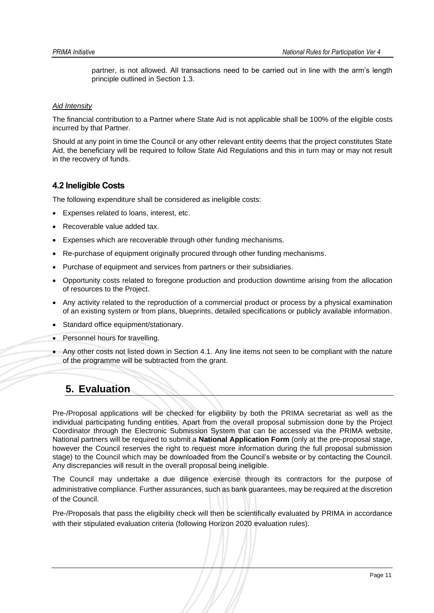partner, is not allowed. All transactions need to be carried out in line with the arm's length principle outlined in Section 1.3.

#### *Aid Intensity*

<span id="page-11-0"></span>The financial contribution to a Partner where State Aid is not applicable shall be 100% of the eligible costs incurred by that Partner.

Should at any point in time the Council or any other relevant entity deems that the project constitutes State Aid, the beneficiary will be required to follow State Aid Regulations and this in turn may or may not result in the recovery of funds.

## **4.2 Ineligible Costs**

The following expenditure shall be considered as ineligible costs:

- Expenses related to loans, interest, etc.
- Recoverable value added tax.
- Expenses which are recoverable through other funding mechanisms.
- Re-purchase of equipment originally procured through other funding mechanisms.
- Purchase of equipment and services from partners or their subsidiaries.
- Opportunity costs related to foregone production and production downtime arising from the allocation of resources to the Project.
- Any activity related to the reproduction of a commercial product or process by a physical examination of an existing system or from plans, blueprints, detailed specifications or publicly available information.
- Standard office equipment/stationary.
- Personnel hours for travelling.
- Any other costs not listed down in Section 4.1. Any line items not seen to be compliant with the nature of the programme will be subtracted from the grant.

# <span id="page-11-1"></span>**5. Evaluation**

Pre-/Proposal applications will be checked for eligibility by both the PRIMA secretariat as well as the individual participating funding entities. Apart from the overall proposal submission done by the Project Coordinator through the Electronic Submission System that can be accessed via the PRIMA website, National partners will be required to submit a **National Application Form** (only at the pre-proposal stage, however the Council reserves the right to request more information during the full proposal submission stage) to the Council which may be downloaded from the Council's website or by contacting the Council. Any discrepancies will result in the overall proposal being ineligible.

The Council may undertake a due diligence exercise through its contractors for the purpose of administrative compliance. Further assurances, such as bank guarantees, may be required at the discretion of the Council.

Pre-/Proposals that pass the eligibility check will then be scientifically evaluated by PRIMA in accordance with their stipulated evaluation criteria (following Horizon 2020 evaluation rules).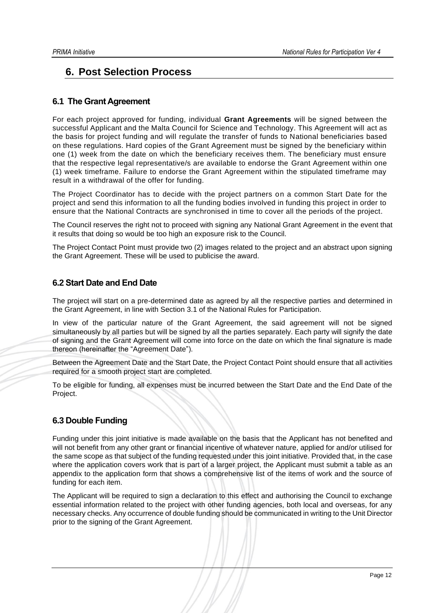## <span id="page-12-0"></span>**6. Post Selection Process**

## <span id="page-12-1"></span>**6.1 The Grant Agreement**

For each project approved for funding, individual **Grant Agreements** will be signed between the successful Applicant and the Malta Council for Science and Technology. This Agreement will act as the basis for project funding and will regulate the transfer of funds to National beneficiaries based on these regulations. Hard copies of the Grant Agreement must be signed by the beneficiary within one (1) week from the date on which the beneficiary receives them. The beneficiary must ensure that the respective legal representative/s are available to endorse the Grant Agreement within one (1) week timeframe. Failure to endorse the Grant Agreement within the stipulated timeframe may result in a withdrawal of the offer for funding.

The Project Coordinator has to decide with the project partners on a common Start Date for the project and send this information to all the funding bodies involved in funding this project in order to ensure that the National Contracts are synchronised in time to cover all the periods of the project.

The Council reserves the right not to proceed with signing any National Grant Agreement in the event that it results that doing so would be too high an exposure risk to the Council.

The Project Contact Point must provide two (2) images related to the project and an abstract upon signing the Grant Agreement. These will be used to publicise the award.

## <span id="page-12-2"></span>**6.2 Start Date and End Date**

The project will start on a pre-determined date as agreed by all the respective parties and determined in the Grant Agreement, in line with Section 3.1 of the National Rules for Participation.

In view of the particular nature of the Grant Agreement, the said agreement will not be signed simultaneously by all parties but will be signed by all the parties separately. Each party will signify the date of signing and the Grant Agreement will come into force on the date on which the final signature is made thereon (hereinafter the "Agreement Date").

Between the Agreement Date and the Start Date, the Project Contact Point should ensure that all activities required for a smooth project start are completed.

To be eligible for funding, all expenses must be incurred between the Start Date and the End Date of the Project.

## <span id="page-12-3"></span>**6.3 Double Funding**

Funding under this joint initiative is made available on the basis that the Applicant has not benefited and will not benefit from any other grant or financial incentive of whatever nature, applied for and/or utilised for the same scope as that subject of the funding requested under this joint initiative. Provided that, in the case where the application covers work that is part of a larger project, the Applicant must submit a table as an appendix to the application form that shows a comprehensive list of the items of work and the source of funding for each item.

The Applicant will be required to sign a declaration to this effect and authorising the Council to exchange essential information related to the project with other funding agencies, both local and overseas, for any necessary checks. Any occurrence of double funding should be communicated in writing to the Unit Director prior to the signing of the Grant Agreement.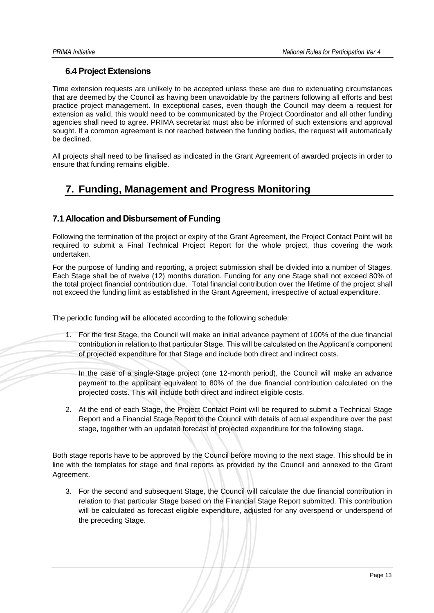## **6.4 Project Extensions**

Time extension requests are unlikely to be accepted unless these are due to extenuating circumstances that are deemed by the Council as having been unavoidable by the partners following all efforts and best practice project management. In exceptional cases, even though the Council may deem a request for extension as valid, this would need to be communicated by the Project Coordinator and all other funding agencies shall need to agree. PRIMA secretariat must also be informed of such extensions and approval sought. If a common agreement is not reached between the funding bodies, the request will automatically be declined.

All projects shall need to be finalised as indicated in the Grant Agreement of awarded projects in order to ensure that funding remains eligible.

## <span id="page-13-0"></span>**7. Funding, Management and Progress Monitoring**

## <span id="page-13-1"></span>**7.1 Allocation and Disbursement of Funding**

Following the termination of the project or expiry of the Grant Agreement, the Project Contact Point will be required to submit a Final Technical Project Report for the whole project, thus covering the work undertaken.

For the purpose of funding and reporting, a project submission shall be divided into a number of Stages. Each Stage shall be of twelve (12) months duration. Funding for any one Stage shall not exceed 80% of the total project financial contribution due. Total financial contribution over the lifetime of the project shall not exceed the funding limit as established in the Grant Agreement, irrespective of actual expenditure.

The periodic funding will be allocated according to the following schedule:

1. For the first Stage, the Council will make an initial advance payment of 100% of the due financial contribution in relation to that particular Stage. This will be calculated on the Applicant's component of projected expenditure for that Stage and include both direct and indirect costs.

In the case of a single-Stage project (one 12-month period), the Council will make an advance payment to the applicant equivalent to 80% of the due financial contribution calculated on the projected costs. This will include both direct and indirect eligible costs.

2. At the end of each Stage, the Project Contact Point will be required to submit a Technical Stage Report and a Financial Stage Report to the Council with details of actual expenditure over the past stage, together with an updated forecast of projected expenditure for the following stage.

Both stage reports have to be approved by the Council before moving to the next stage. This should be in line with the templates for stage and final reports as provided by the Council and annexed to the Grant Agreement.

3. For the second and subsequent Stage, the Council will calculate the due financial contribution in relation to that particular Stage based on the Financial Stage Report submitted. This contribution will be calculated as forecast eligible expenditure, adjusted for any overspend or underspend of the preceding Stage.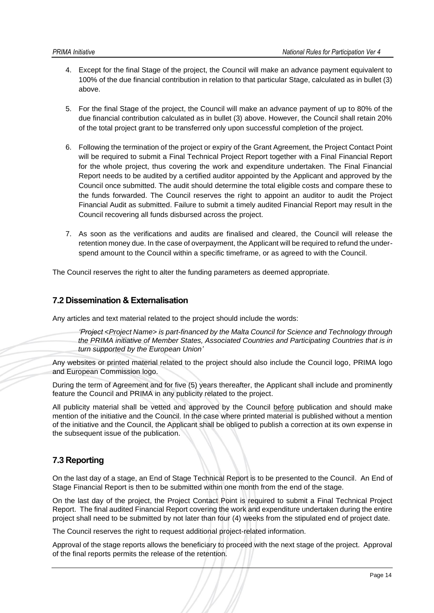- 4. Except for the final Stage of the project, the Council will make an advance payment equivalent to 100% of the due financial contribution in relation to that particular Stage, calculated as in bullet (3) above.
- 5. For the final Stage of the project, the Council will make an advance payment of up to 80% of the due financial contribution calculated as in bullet (3) above. However, the Council shall retain 20% of the total project grant to be transferred only upon successful completion of the project.
- 6. Following the termination of the project or expiry of the Grant Agreement, the Project Contact Point will be required to submit a Final Technical Project Report together with a Final Financial Report for the whole project, thus covering the work and expenditure undertaken. The Final Financial Report needs to be audited by a certified auditor appointed by the Applicant and approved by the Council once submitted. The audit should determine the total eligible costs and compare these to the funds forwarded. The Council reserves the right to appoint an auditor to audit the Project Financial Audit as submitted. Failure to submit a timely audited Financial Report may result in the Council recovering all funds disbursed across the project.
- 7. As soon as the verifications and audits are finalised and cleared, the Council will release the retention money due. In the case of overpayment, the Applicant will be required to refund the underspend amount to the Council within a specific timeframe, or as agreed to with the Council.

The Council reserves the right to alter the funding parameters as deemed appropriate.

## <span id="page-14-0"></span>**7.2 Dissemination & Externalisation**

Any articles and text material related to the project should include the words:

*'Project <Project Name> is part-financed by the Malta Council for Science and Technology through the PRIMA initiative of Member States, Associated Countries and Participating Countries that is in turn supported by the European Union'*

Any websites or printed material related to the project should also include the Council logo, PRIMA logo and European Commission logo.

During the term of Agreement and for five (5) years thereafter, the Applicant shall include and prominently feature the Council and PRIMA in any publicity related to the project.

All publicity material shall be vetted and approved by the Council before publication and should make mention of the initiative and the Council. In the case where printed material is published without a mention of the initiative and the Council, the Applicant shall be obliged to publish a correction at its own expense in the subsequent issue of the publication.

## <span id="page-14-1"></span>**7.3 Reporting**

On the last day of a stage, an End of Stage Technical Report is to be presented to the Council. An End of Stage Financial Report is then to be submitted within one month from the end of the stage.

On the last day of the project, the Project Contact Point is required to submit a Final Technical Project Report. The final audited Financial Report covering the work and expenditure undertaken during the entire project shall need to be submitted by not later than four (4) weeks from the stipulated end of project date.

The Council reserves the right to request additional project-related information.

Approval of the stage reports allows the beneficiary to proceed with the next stage of the project. Approval of the final reports permits the release of the retention.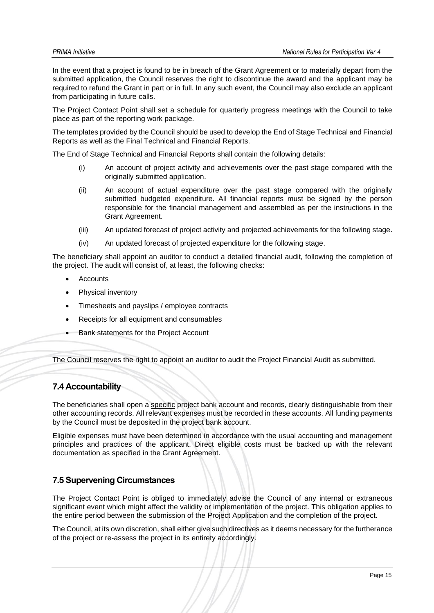In the event that a project is found to be in breach of the Grant Agreement or to materially depart from the submitted application, the Council reserves the right to discontinue the award and the applicant may be required to refund the Grant in part or in full. In any such event, the Council may also exclude an applicant from participating in future calls.

The Project Contact Point shall set a schedule for quarterly progress meetings with the Council to take place as part of the reporting work package.

The templates provided by the Council should be used to develop the End of Stage Technical and Financial Reports as well as the Final Technical and Financial Reports.

The End of Stage Technical and Financial Reports shall contain the following details:

- (i) An account of project activity and achievements over the past stage compared with the originally submitted application.
- (ii) An account of actual expenditure over the past stage compared with the originally submitted budgeted expenditure. All financial reports must be signed by the person responsible for the financial management and assembled as per the instructions in the Grant Agreement.
- (iii) An updated forecast of project activity and projected achievements for the following stage.
- (iv) An updated forecast of projected expenditure for the following stage.

The beneficiary shall appoint an auditor to conduct a detailed financial audit, following the completion of the project. The audit will consist of, at least, the following checks:

- **Accounts**
- Physical inventory
- Timesheets and payslips / employee contracts
- Receipts for all equipment and consumables
- Bank statements for the Project Account

<span id="page-15-0"></span>The Council reserves the right to appoint an auditor to audit the Project Financial Audit as submitted.

### **7.4 Accountability**

The beneficiaries shall open a specific project bank account and records, clearly distinguishable from their other accounting records. All relevant expenses must be recorded in these accounts. All funding payments by the Council must be deposited in the project bank account.

Eligible expenses must have been determined in accordance with the usual accounting and management principles and practices of the applicant. Direct eligible costs must be backed up with the relevant documentation as specified in the Grant Agreement.

#### <span id="page-15-1"></span>**7.5 Supervening Circumstances**

The Project Contact Point is obliged to immediately advise the Council of any internal or extraneous significant event which might affect the validity or implementation of the project. This obligation applies to the entire period between the submission of the Project Application and the completion of the project.

The Council, at its own discretion, shall either give such directives as it deems necessary for the furtherance of the project or re-assess the project in its entirety accordingly.